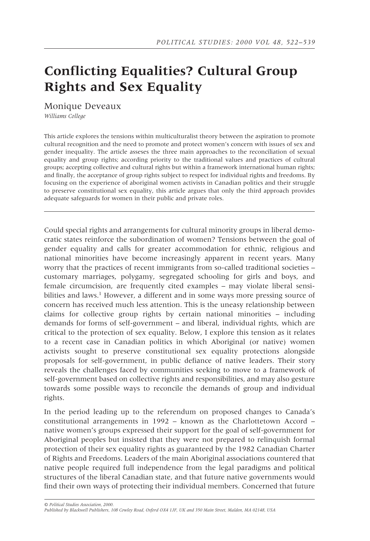# **Conflicting Equalities? Cultural Group Rights and Sex Equality**

Monique Deveaux

*Williams College*

This article explores the tensions within multiculturalist theory between the aspiration to promote cultural recognition and the need to promote and protect women's concern with issues of sex and gender inequality. The article asseses the three main approaches to the reconciliation of sexual equality and group rights; according priority to the traditional values and practices of cultural groups; accepting collective and cultural rights but within a framework international human rights; and finally, the acceptance of group rights subject to respect for individual rights and freedoms. By focusing on the experience of aboriginal women activists in Canadian politics and their struggle to preserve constitutional sex equality, this article argues that only the third approach provides adequate safeguards for women in their public and private roles.

Could special rights and arrangements for cultural minority groups in liberal democratic states reinforce the subordination of women? Tensions between the goal of gender equality and calls for greater accommodation for ethnic, religious and national minorities have become increasingly apparent in recent years. Many worry that the practices of recent immigrants from so-called traditional societies – customary marriages, polygamy, segregated schooling for girls and boys, and female circumcision, are frequently cited examples – may violate liberal sensibilities and laws.1 However, a different and in some ways more pressing source of concern has received much less attention. This is the uneasy relationship between claims for collective group rights by certain national minorities – including demands for forms of self-government – and liberal, individual rights, which are critical to the protection of sex equality. Below, I explore this tension as it relates to a recent case in Canadian politics in which Aboriginal (or native) women activists sought to preserve constitutional sex equality protections alongside proposals for self-government, in public defiance of native leaders. Their story reveals the challenges faced by communities seeking to move to a framework of self-government based on collective rights and responsibilities, and may also gesture towards some possible ways to reconcile the demands of group and individual rights.

In the period leading up to the referendum on proposed changes to Canada's constitutional arrangements in 1992 – known as the Charlottetown Accord – native women's groups expressed their support for the goal of self-government for Aboriginal peoples but insisted that they were not prepared to relinquish formal protection of their sex equality rights as guaranteed by the 1982 Canadian Charter of Rights and Freedoms. Leaders of the main Aboriginal associations countered that native people required full independence from the legal paradigms and political structures of the liberal Canadian state, and that future native governments would find their own ways of protecting their individual members. Concerned that future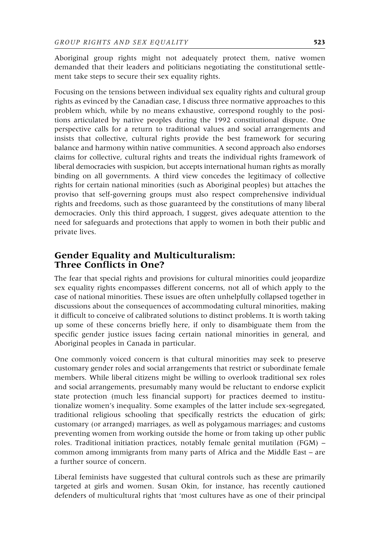Aboriginal group rights might not adequately protect them, native women demanded that their leaders and politicians negotiating the constitutional settlement take steps to secure their sex equality rights.

Focusing on the tensions between individual sex equality rights and cultural group rights as evinced by the Canadian case, I discuss three normative approaches to this problem which, while by no means exhaustive, correspond roughly to the positions articulated by native peoples during the 1992 constitutional dispute. One perspective calls for a return to traditional values and social arrangements and insists that collective, cultural rights provide the best framework for securing balance and harmony within native communities. A second approach also endorses claims for collective, cultural rights and treats the individual rights framework of liberal democracies with suspicion, but accepts international human rights as morally binding on all governments. A third view concedes the legitimacy of collective rights for certain national minorities (such as Aboriginal peoples) but attaches the proviso that self-governing groups must also respect comprehensive individual rights and freedoms, such as those guaranteed by the constitutions of many liberal democracies. Only this third approach, I suggest, gives adequate attention to the need for safeguards and protections that apply to women in both their public and private lives.

## **Gender Equality and Multiculturalism: Three Conflicts in One?**

The fear that special rights and provisions for cultural minorities could jeopardize sex equality rights encompasses different concerns, not all of which apply to the case of national minorities. These issues are often unhelpfully collapsed together in discussions about the consequences of accommodating cultural minorities, making it difficult to conceive of calibrated solutions to distinct problems. It is worth taking up some of these concerns briefly here, if only to disambiguate them from the specific gender justice issues facing certain national minorities in general, and Aboriginal peoples in Canada in particular.

One commonly voiced concern is that cultural minorities may seek to preserve customary gender roles and social arrangements that restrict or subordinate female members. While liberal citizens might be willing to overlook traditional sex roles and social arrangements, presumably many would be reluctant to endorse explicit state protection (much less financial support) for practices deemed to institutionalize women's inequality. Some examples of the latter include sex-segregated, traditional religious schooling that specifically restricts the education of girls; customary (or arranged) marriages, as well as polygamous marriages; and customs preventing women from working outside the home or from taking up other public roles. Traditional initiation practices, notably female genital mutilation (FGM) – common among immigrants from many parts of Africa and the Middle East – are a further source of concern.

Liberal feminists have suggested that cultural controls such as these are primarily targeted at girls and women. Susan Okin, for instance, has recently cautioned defenders of multicultural rights that 'most cultures have as one of their principal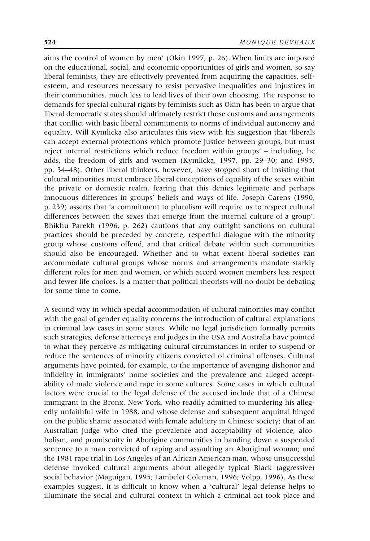aims the control of women by men' (Okin 1997, p. 26). When limits are imposed on the educational, social, and economic opportunities of girls and women, so say liberal feminists, they are effectively prevented from acquiring the capacities, selfesteem, and resources necessary to resist pervasive inequalities and injustices in their communities, much less to lead lives of their own choosing. The response to demands for special cultural rights by feminists such as Okin has been to argue that liberal democratic states should ultimately restrict those customs and arrangements that conflict with basic liberal commitments to norms of individual autonomy and equality. Will Kymlicka also articulates this view with his suggestion that 'liberals can accept external protections which promote justice between groups, but must reject internal restrictions which reduce freedom within groups' – including, he adds, the freedom of girls and women (Kymlicka, 1997, pp. 29–30; and 1995, pp. 34–48). Other liberal thinkers, however, have stopped short of insisting that cultural minorities must embrace liberal conceptions of equality of the sexes within the private or domestic realm, fearing that this denies legitimate and perhaps innocuous differences in groups' beliefs and ways of life. Joseph Carens (1990, p. 239) asserts that 'a commitment to pluralism will require us to respect cultural differences between the sexes that emerge from the internal culture of a group'. Bhikhu Parekh (1996, p. 262) cautions that any outright sanctions on cultural practices should be preceded by concrete, respectful dialogue with the minority group whose customs offend, and that critical debate within such communities should also be encouraged. Whether and to what extent liberal societies can accommodate cultural groups whose norms and arrangements mandate starkly different roles for men and women, or which accord women members less respect and fewer life choices, is a matter that political theorists will no doubt be debating for some time to come.

A second way in which special accommodation of cultural minorities may conflict with the goal of gender equality concerns the introduction of cultural explanations in criminal law cases in some states. While no legal jurisdiction formally permits such strategies, defense attorneys and judges in the USA and Australia have pointed to what they perceive as mitigating cultural circumstances in order to suspend or reduce the sentences of minority citizens convicted of criminal offenses. Cultural arguments have pointed, for example, to the importance of avenging dishonor and infidelity in immigrants' home societies and the prevalence and alleged acceptability of male violence and rape in some cultures. Some cases in which cultural factors were crucial to the legal defense of the accused include that of a Chinese immigrant in the Bronx, New York, who readily admitted to murdering his allegedly unfaithful wife in 1988, and whose defense and subsequent acquittal hinged on the public shame associated with female adultery in Chinese society; that of an Australian judge who cited the prevalence and acceptability of violence, alcoholism, and promiscuity in Aborigine communities in handing down a suspended sentence to a man convicted of raping and assaulting an Aboriginal woman; and the 1981 rape trial in Los Angeles of an African American man, whose unsuccessful defense invoked cultural arguments about allegedly typical Black (aggressive) social behavior (Maguigan, 1995; Lambelet Coleman, 1996; Volpp, 1996). As these examples suggest, it is difficult to know when a 'cultural' legal defense helps to illuminate the social and cultural context in which a criminal act took place and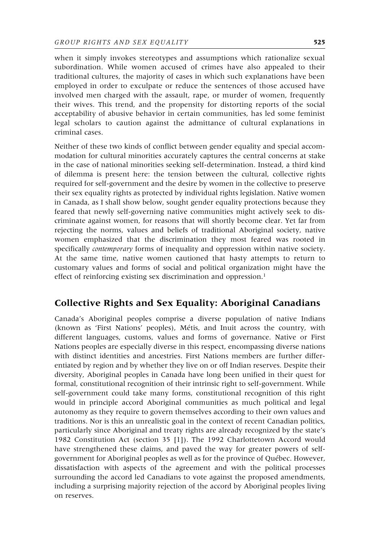when it simply invokes stereotypes and assumptions which rationalize sexual subordination. While women accused of crimes have also appealed to their traditional cultures, the majority of cases in which such explanations have been employed in order to exculpate or reduce the sentences of those accused have involved men charged with the assault, rape, or murder of women, frequently their wives. This trend, and the propensity for distorting reports of the social acceptability of abusive behavior in certain communities, has led some feminist legal scholars to caution against the admittance of cultural explanations in criminal cases.

Neither of these two kinds of conflict between gender equality and special accommodation for cultural minorities accurately captures the central concerns at stake in the case of national minorities seeking self-determination. Instead, a third kind of dilemma is present here: the tension between the cultural, collective rights required for self-government and the desire by women in the collective to preserve their sex equality rights as protected by individual rights legislation. Native women in Canada, as I shall show below, sought gender equality protections because they feared that newly self-governing native communities might actively seek to discriminate against women, for reasons that will shortly become clear. Yet far from rejecting the norms, values and beliefs of traditional Aboriginal society, native women emphasized that the discrimination they most feared was rooted in specifically *contemporary* forms of inequality and oppression within native society. At the same time, native women cautioned that hasty attempts to return to customary values and forms of social and political organization might have the effect of reinforcing existing sex discrimination and oppression.<sup>1</sup>

## **Collective Rights and Sex Equality: Aboriginal Canadians**

Canada's Aboriginal peoples comprise a diverse population of native Indians (known as 'First Nations' peoples), Métis, and Inuit across the country, with different languages, customs, values and forms of governance. Native or First Nations peoples are especially diverse in this respect, encompassing diverse nations with distinct identities and ancestries. First Nations members are further differentiated by region and by whether they live on or off Indian reserves. Despite their diversity, Aboriginal peoples in Canada have long been unified in their quest for formal, constitutional recognition of their intrinsic right to self-government. While self-government could take many forms, constitutional recognition of this right would in principle accord Aboriginal communities as much political and legal autonomy as they require to govern themselves according to their own values and traditions. Nor is this an unrealistic goal in the context of recent Canadian politics, particularly since Aboriginal and treaty rights are already recognized by the state's 1982 Constitution Act (section 35 [1]). The 1992 Charlottetown Accord would have strengthened these claims, and paved the way for greater powers of selfgovernment for Aboriginal peoples as well as for the province of Québec. However, dissatisfaction with aspects of the agreement and with the political processes surrounding the accord led Canadians to vote against the proposed amendments, including a surprising majority rejection of the accord by Aboriginal peoples living on reserves.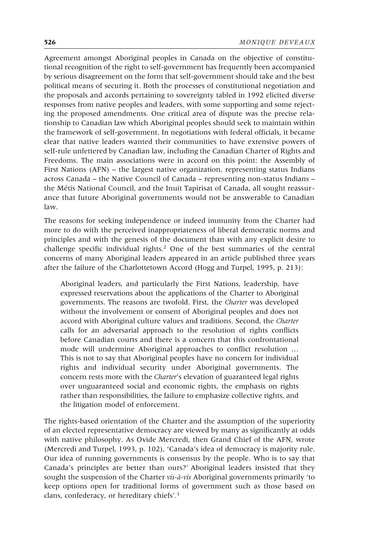Agreement amongst Aboriginal peoples in Canada on the objective of constitutional recognition of the right to self-government has frequently been accompanied by serious disagreement on the form that self-government should take and the best political means of securing it. Both the processes of constitutional negotiation and the proposals and accords pertaining to sovereignty tabled in 1992 elicited diverse responses from native peoples and leaders, with some supporting and some rejecting the proposed amendments. One critical area of dispute was the precise relationship to Canadian law which Aboriginal peoples should seek to maintain within the framework of self-government. In negotiations with federal officials, it became clear that native leaders wanted their communities to have extensive powers of self-rule unfettered by Canadian law, including the Canadian Charter of Rights and Freedoms. The main associations were in accord on this point: the Assembly of First Nations (AFN) – the largest native organization, representing status Indians across Canada – the Native Council of Canada – representing non-status Indians – the Métis National Council, and the Inuit Tapirisat of Canada, all sought reassurance that future Aboriginal governments would not be answerable to Canadian law.

The reasons for seeking independence or indeed immunity from the Charter had more to do with the perceived inappropriateness of liberal democratic norms and principles and with the genesis of the document than with any explicit desire to challenge specific individual rights.2 One of the best summaries of the central concerns of many Aboriginal leaders appeared in an article published three years after the failure of the Charlottetown Accord (Hogg and Turpel, 1995, p. 213):

Aboriginal leaders, and particularly the First Nations, leadership, have expressed reservations about the applications of the Charter to Aboriginal governments. The reasons are twofold. First, the *Charter* was developed without the involvement or consent of Aboriginal peoples and does not accord with Aboriginal culture values and traditions. Second, the *Charter* calls for an adversarial approach to the resolution of rights conflicts before Canadian courts and there is a concern that this confrontational mode will undermine Aboriginal approaches to conflict resolution … This is not to say that Aboriginal peoples have no concern for individual rights and individual security under Aboriginal governments. The concern rests more with the *Charter*'s elevation of guaranteed legal rights over unguaranteed social and economic rights, the emphasis on rights rather than responsibilities, the failure to emphasize collective rights, and the litigation model of enforcement.

The rights-based orientation of the Charter and the assumption of the superiority of an elected representative democracy are viewed by many as significantly at odds with native philosophy. As Ovide Mercredi, then Grand Chief of the AFN, wrote (Mercredi and Turpel, 1993, p. 102), 'Canada's idea of democracy is majority rule. Our idea of running governments is consensus by the people. Who is to say that Canada's principles are better than ours?' Aboriginal leaders insisted that they sought the suspension of the Charter *vis-à-vis* Aboriginal governments primarily 'to keep options open for traditional forms of government such as those based on clans, confederacy, or hereditary chiefs'.3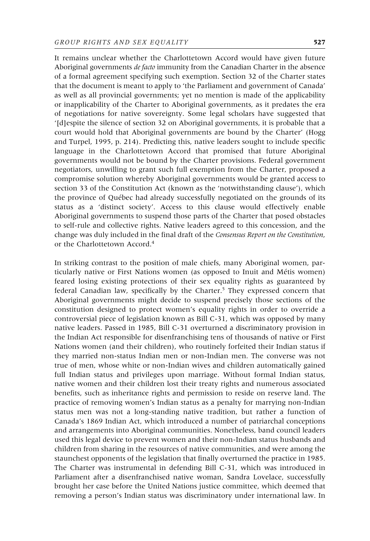It remains unclear whether the Charlottetown Accord would have given future Aboriginal governments *de facto* immunity from the Canadian Charter in the absence of a formal agreement specifying such exemption. Section 32 of the Charter states that the document is meant to apply to 'the Parliament and government of Canada' as well as all provincial governments; yet no mention is made of the applicability or inapplicability of the Charter to Aboriginal governments, as it predates the era of negotiations for native sovereignty. Some legal scholars have suggested that '[d]espite the silence of section 32 on Aboriginal governments, it is probable that a court would hold that Aboriginal governments are bound by the Charter' (Hogg and Turpel, 1995, p. 214). Predicting this, native leaders sought to include specific language in the Charlottetown Accord that promised that future Aboriginal governments would not be bound by the Charter provisions. Federal government negotiators, unwilling to grant such full exemption from the Charter, proposed a compromise solution whereby Aboriginal governments would be granted access to section 33 of the Constitution Act (known as the 'notwithstanding clause'), which the province of Québec had already successfully negotiated on the grounds of its status as a 'distinct society'. Access to this clause would effectively enable Aboriginal governments to suspend those parts of the Charter that posed obstacles to self-rule and collective rights. Native leaders agreed to this concession, and the change was duly included in the final draft of the *Consensus Report on the Constitution*, or the Charlottetown Accord.4

In striking contrast to the position of male chiefs, many Aboriginal women, particularly native or First Nations women (as opposed to Inuit and Métis women) feared losing existing protections of their sex equality rights as guaranteed by federal Canadian law, specifically by the Charter.<sup>5</sup> They expressed concern that Aboriginal governments might decide to suspend precisely those sections of the constitution designed to protect women's equality rights in order to override a controversial piece of legislation known as Bill C-31, which was opposed by many native leaders. Passed in 1985, Bill C-31 overturned a discriminatory provision in the Indian Act responsible for disenfranchising tens of thousands of native or First Nations women (and their children), who routinely forfeited their Indian status if they married non-status Indian men or non-Indian men. The converse was not true of men, whose white or non-Indian wives and children automatically gained full Indian status and privileges upon marriage. Without formal Indian status, native women and their children lost their treaty rights and numerous associated benefits, such as inheritance rights and permission to reside on reserve land. The practice of removing women's Indian status as a penalty for marrying non-Indian status men was not a long-standing native tradition, but rather a function of Canada's 1869 Indian Act, which introduced a number of patriarchal conceptions and arrangements into Aboriginal communities. Nonetheless, band council leaders used this legal device to prevent women and their non-Indian status husbands and children from sharing in the resources of native communities, and were among the staunchest opponents of the legislation that finally overturned the practice in 1985. The Charter was instrumental in defending Bill C-31, which was introduced in Parliament after a disenfranchised native woman, Sandra Lovelace, successfully brought her case before the United Nations justice committee, which deemed that removing a person's Indian status was discriminatory under international law. In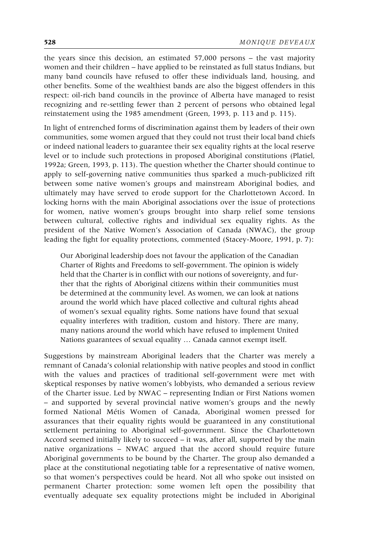the years since this decision, an estimated 57,000 persons – the vast majority women and their children – have applied to be reinstated as full status Indians, but many band councils have refused to offer these individuals land, housing, and other benefits. Some of the wealthiest bands are also the biggest offenders in this respect: oil-rich band councils in the province of Alberta have managed to resist recognizing and re-settling fewer than 2 percent of persons who obtained legal reinstatement using the 1985 amendment (Green, 1993, p. 113 and p. 115).

In light of entrenched forms of discrimination against them by leaders of their own communities, some women argued that they could not trust their local band chiefs or indeed national leaders to guarantee their sex equality rights at the local reserve level or to include such protections in proposed Aboriginal constitutions (Platiel, 1992a; Green, 1993, p. 113). The question whether the Charter should continue to apply to self-governing native communities thus sparked a much-publicized rift between some native women's groups and mainstream Aboriginal bodies, and ultimately may have served to erode support for the Charlottetown Accord. In locking horns with the main Aboriginal associations over the issue of protections for women, native women's groups brought into sharp relief some tensions between cultural, collective rights and individual sex equality rights. As the president of the Native Women's Association of Canada (NWAC), the group leading the fight for equality protections, commented (Stacey-Moore, 1991, p. 7):

Our Aboriginal leadership does not favour the application of the Canadian Charter of Rights and Freedoms to self-government. The opinion is widely held that the Charter is in conflict with our notions of sovereignty, and further that the rights of Aboriginal citizens within their communities must be determined at the community level. As women, we can look at nations around the world which have placed collective and cultural rights ahead of women's sexual equality rights. Some nations have found that sexual equality interferes with tradition, custom and history. There are many, many nations around the world which have refused to implement United Nations guarantees of sexual equality … Canada cannot exempt itself.

Suggestions by mainstream Aboriginal leaders that the Charter was merely a remnant of Canada's colonial relationship with native peoples and stood in conflict with the values and practices of traditional self-government were met with skeptical responses by native women's lobbyists, who demanded a serious review of the Charter issue. Led by NWAC – representing Indian or First Nations women – and supported by several provincial native women's groups and the newly formed National Métis Women of Canada, Aboriginal women pressed for assurances that their equality rights would be guaranteed in any constitutional settlement pertaining to Aboriginal self-government. Since the Charlottetown Accord seemed initially likely to succeed – it was, after all, supported by the main native organizations – NWAC argued that the accord should require future Aboriginal governments to be bound by the Charter. The group also demanded a place at the constitutional negotiating table for a representative of native women, so that women's perspectives could be heard. Not all who spoke out insisted on permanent Charter protection: some women left open the possibility that eventually adequate sex equality protections might be included in Aboriginal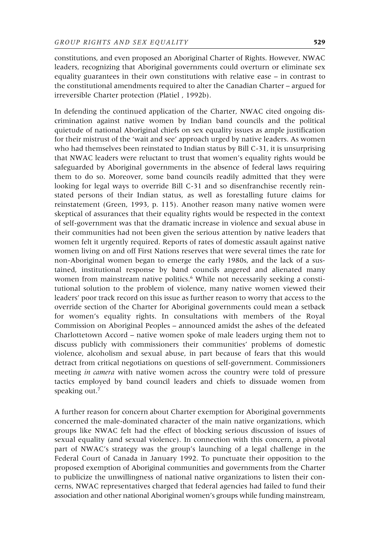constitutions, and even proposed an Aboriginal Charter of Rights. However, NWAC leaders, recognizing that Aboriginal governments could overturn or eliminate sex equality guarantees in their own constitutions with relative ease – in contrast to the constitutional amendments required to alter the Canadian Charter – argued for irreversible Charter protection (Platiel , 1992b).

In defending the continued application of the Charter, NWAC cited ongoing discrimination against native women by Indian band councils and the political quietude of national Aboriginal chiefs on sex equality issues as ample justification for their mistrust of the 'wait and see' approach urged by native leaders. As women who had themselves been reinstated to Indian status by Bill C-31, it is unsurprising that NWAC leaders were reluctant to trust that women's equality rights would be safeguarded by Aboriginal governments in the absence of federal laws requiring them to do so. Moreover, some band councils readily admitted that they were looking for legal ways to override Bill C-31 and so disenfranchise recently reinstated persons of their Indian status, as well as forestalling future claims for reinstatement (Green, 1993, p. 115). Another reason many native women were skeptical of assurances that their equality rights would be respected in the context of self-government was that the dramatic increase in violence and sexual abuse in their communities had not been given the serious attention by native leaders that women felt it urgently required. Reports of rates of domestic assault against native women living on and off First Nations reserves that were several times the rate for non-Aboriginal women began to emerge the early 1980s, and the lack of a sustained, institutional response by band councils angered and alienated many women from mainstream native politics.<sup>6</sup> While not necessarily seeking a constitutional solution to the problem of violence, many native women viewed their leaders' poor track record on this issue as further reason to worry that access to the override section of the Charter for Aboriginal governments could mean a setback for women's equality rights. In consultations with members of the Royal Commission on Aboriginal Peoples – announced amidst the ashes of the defeated Charlottetown Accord – native women spoke of male leaders urging them not to discuss publicly with commissioners their communities' problems of domestic violence, alcoholism and sexual abuse, in part because of fears that this would detract from critical negotiations on questions of self-government. Commissioners meeting *in camera* with native women across the country were told of pressure tactics employed by band council leaders and chiefs to dissuade women from speaking out.7

A further reason for concern about Charter exemption for Aboriginal governments concerned the male-dominated character of the main native organizations, which groups like NWAC felt had the effect of blocking serious discussion of issues of sexual equality (and sexual violence). In connection with this concern, a pivotal part of NWAC's strategy was the group's launching of a legal challenge in the Federal Court of Canada in January 1992. To punctuate their opposition to the proposed exemption of Aboriginal communities and governments from the Charter to publicize the unwillingness of national native organizations to listen their concerns, NWAC representatives charged that federal agencies had failed to fund their association and other national Aboriginal women's groups while funding mainstream,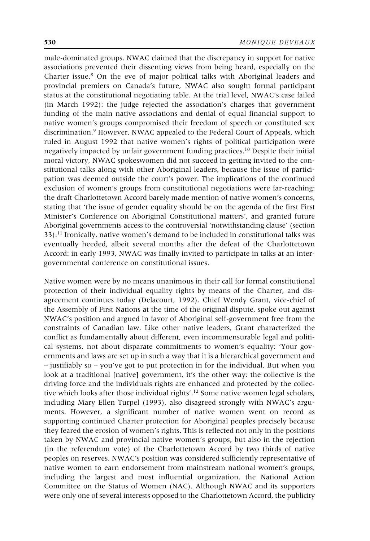male-dominated groups. NWAC claimed that the discrepancy in support for native associations prevented their dissenting views from being heard, especially on the Charter issue.8 On the eve of major political talks with Aboriginal leaders and provincial premiers on Canada's future, NWAC also sought formal participant status at the constitutional negotiating table. At the trial level, NWAC's case failed (in March 1992): the judge rejected the association's charges that government funding of the main native associations and denial of equal financial support to native women's groups compromised their freedom of speech or constituted sex discrimination.<sup>9</sup> However, NWAC appealed to the Federal Court of Appeals, which ruled in August 1992 that native women's rights of political participation were negatively impacted by unfair government funding practices.10 Despite their initial moral victory, NWAC spokeswomen did not succeed in getting invited to the constitutional talks along with other Aboriginal leaders, because the issue of participation was deemed outside the court's power. The implications of the continued exclusion of women's groups from constitutional negotiations were far-reaching: the draft Charlottetown Accord barely made mention of native women's concerns, stating that 'the issue of gender equality should be on the agenda of the first First Minister's Conference on Aboriginal Constitutional matters', and granted future Aboriginal governments access to the controversial 'notwithstanding clause' (section  $33$ ).<sup>11</sup> Ironically, native women's demand to be included in constitutional talks was eventually heeded, albeit several months after the defeat of the Charlottetown Accord: in early 1993, NWAC was finally invited to participate in talks at an intergovernmental conference on constitutional issues.

Native women were by no means unanimous in their call for formal constitutional protection of their individual equality rights by means of the Charter, and disagreement continues today (Delacourt, 1992). Chief Wendy Grant, vice-chief of the Assembly of First Nations at the time of the original dispute, spoke out against NWAC's position and argued in favor of Aboriginal self-government free from the constraints of Canadian law. Like other native leaders, Grant characterized the conflict as fundamentally about different, even incommensurable legal and political systems, not about disparate commitments to women's equality: 'Your governments and laws are set up in such a way that it is a hierarchical government and – justifiably so – you've got to put protection in for the individual. But when you look at a traditional [native] government, it's the other way: the collective is the driving force and the individuals rights are enhanced and protected by the collective which looks after those individual rights'.<sup>12</sup> Some native women legal scholars, including Mary Ellen Turpel (1993), also disagreed strongly with NWAC's arguments. However, a significant number of native women went on record as supporting continued Charter protection for Aboriginal peoples precisely because they feared the erosion of women's rights. This is reflected not only in the positions taken by NWAC and provincial native women's groups, but also in the rejection (in the referendum vote) of the Charlottetown Accord by two thirds of native peoples on reserves. NWAC's position was considered sufficiently representative of native women to earn endorsement from mainstream national women's groups, including the largest and most influential organization, the National Action Committee on the Status of Women (NAC). Although NWAC and its supporters were only one of several interests opposed to the Charlottetown Accord, the publicity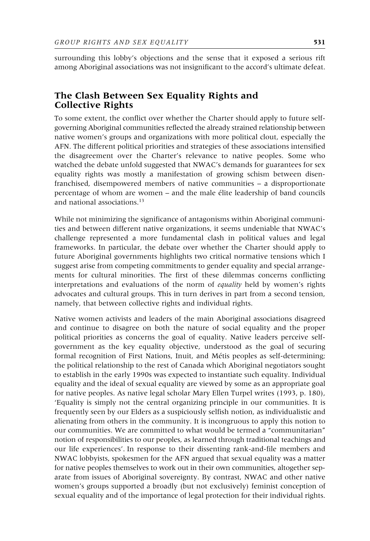surrounding this lobby's objections and the sense that it exposed a serious rift among Aboriginal associations was not insignificant to the accord's ultimate defeat.

## **The Clash Between Sex Equality Rights and Collective Rights**

To some extent, the conflict over whether the Charter should apply to future selfgoverning Aboriginal communities reflected the already strained relationship between native women's groups and organizations with more political clout, especially the AFN. The different political priorities and strategies of these associations intensified the disagreement over the Charter's relevance to native peoples. Some who watched the debate unfold suggested that NWAC's demands for guarantees for sex equality rights was mostly a manifestation of growing schism between disenfranchised, disempowered members of native communities – a disproportionate percentage of whom are women – and the male élite leadership of band councils and national associations.13

While not minimizing the significance of antagonisms within Aboriginal communities and between different native organizations, it seems undeniable that NWAC's challenge represented a more fundamental clash in political values and legal frameworks. In particular, the debate over whether the Charter should apply to future Aboriginal governments highlights two critical normative tensions which I suggest arise from competing commitments to gender equality and special arrangements for cultural minorities. The first of these dilemmas concerns conflicting interpretations and evaluations of the norm of *equality* held by women's rights advocates and cultural groups. This in turn derives in part from a second tension, namely, that between collective rights and individual rights.

Native women activists and leaders of the main Aboriginal associations disagreed and continue to disagree on both the nature of social equality and the proper political priorities as concerns the goal of equality. Native leaders perceive selfgovernment as the key equality objective, understood as the goal of securing formal recognition of First Nations, Inuit, and Métis peoples as self-determining; the political relationship to the rest of Canada which Aboriginal negotiators sought to establish in the early 1990s was expected to instantiate such equality. Individual equality and the ideal of sexual equality are viewed by some as an appropriate goal for native peoples. As native legal scholar Mary Ellen Turpel writes (1993, p. 180), 'Equality is simply not the central organizing principle in our communities. It is frequently seen by our Elders as a suspiciously selfish notion, as individualistic and alienating from others in the community. It is incongruous to apply this notion to our communities. We are committed to what would be termed a "communitarian" notion of responsibilities to our peoples, as learned through traditional teachings and our life experiences'. In response to their dissenting rank-and-file members and NWAC lobbyists, spokesmen for the AFN argued that sexual equality was a matter for native peoples themselves to work out in their own communities, altogether separate from issues of Aboriginal sovereignty. By contrast, NWAC and other native women's groups supported a broadly (but not exclusively) feminist conception of sexual equality and of the importance of legal protection for their individual rights.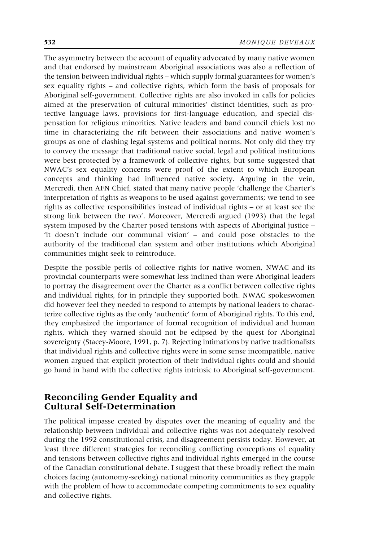The asymmetry between the account of equality advocated by many native women and that endorsed by mainstream Aboriginal associations was also a reflection of the tension between individual rights – which supply formal guarantees for women's sex equality rights – and collective rights, which form the basis of proposals for Aboriginal self-government. Collective rights are also invoked in calls for policies aimed at the preservation of cultural minorities' distinct identities, such as protective language laws, provisions for first-language education, and special dispensation for religious minorities. Native leaders and band council chiefs lost no time in characterizing the rift between their associations and native women's groups as one of clashing legal systems and political norms. Not only did they try to convey the message that traditional native social, legal and political institutions were best protected by a framework of collective rights, but some suggested that NWAC's sex equality concerns were proof of the extent to which European concepts and thinking had influenced native society. Arguing in the vein, Mercredi, then AFN Chief, stated that many native people 'challenge the Charter's interpretation of rights as weapons to be used against governments; we tend to see rights as collective responsibilities instead of individual rights – or at least see the strong link between the two'. Moreover, Mercredi argued (1993) that the legal system imposed by the Charter posed tensions with aspects of Aboriginal justice – 'it doesn't include our communal vision' – and could pose obstacles to the authority of the traditional clan system and other institutions which Aboriginal communities might seek to reintroduce.

Despite the possible perils of collective rights for native women, NWAC and its provincial counterparts were somewhat less inclined than were Aboriginal leaders to portray the disagreement over the Charter as a conflict between collective rights and individual rights, for in principle they supported both. NWAC spokeswomen did however feel they needed to respond to attempts by national leaders to characterize collective rights as the only 'authentic' form of Aboriginal rights. To this end, they emphasized the importance of formal recognition of individual and human rights, which they warned should not be eclipsed by the quest for Aboriginal sovereignty (Stacey-Moore, 1991, p. 7). Rejecting intimations by native traditionalists that individual rights and collective rights were in some sense incompatible, native women argued that explicit protection of their individual rights could and should go hand in hand with the collective rights intrinsic to Aboriginal self-government.

## **Reconciling Gender Equality and Cultural Self-Determination**

The political impasse created by disputes over the meaning of equality and the relationship between individual and collective rights was not adequately resolved during the 1992 constitutional crisis, and disagreement persists today. However, at least three different strategies for reconciling conflicting conceptions of equality and tensions between collective rights and individual rights emerged in the course of the Canadian constitutional debate. I suggest that these broadly reflect the main choices facing (autonomy-seeking) national minority communities as they grapple with the problem of how to accommodate competing commitments to sex equality and collective rights.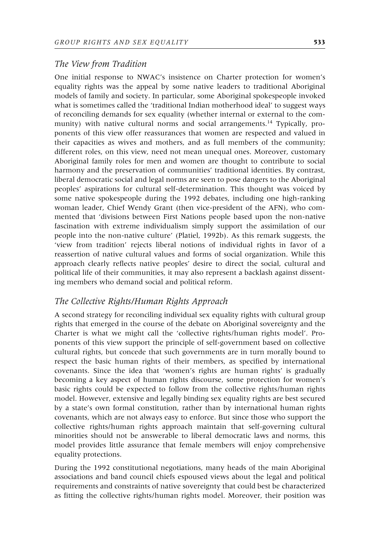## *The View from Tradition*

One initial response to NWAC's insistence on Charter protection for women's equality rights was the appeal by some native leaders to traditional Aboriginal models of family and society. In particular, some Aboriginal spokespeople invoked what is sometimes called the 'traditional Indian motherhood ideal' to suggest ways of reconciling demands for sex equality (whether internal or external to the community) with native cultural norms and social arrangements.14 Typically, proponents of this view offer reassurances that women are respected and valued in their capacities as wives and mothers, and as full members of the community; different roles, on this view, need not mean unequal ones. Moreover, customary Aboriginal family roles for men and women are thought to contribute to social harmony and the preservation of communities' traditional identities. By contrast, liberal democratic social and legal norms are seen to pose dangers to the Aboriginal peoples' aspirations for cultural self-determination. This thought was voiced by some native spokespeople during the 1992 debates, including one high-ranking woman leader, Chief Wendy Grant (then vice-president of the AFN), who commented that 'divisions between First Nations people based upon the non-native fascination with extreme individualism simply support the assimilation of our people into the non-native culture' (Platiel, 1992b). As this remark suggests, the 'view from tradition' rejects liberal notions of individual rights in favor of a reassertion of native cultural values and forms of social organization. While this approach clearly reflects native peoples' desire to direct the social, cultural and political life of their communities, it may also represent a backlash against dissenting members who demand social and political reform.

### *The Collective Rights/Human Rights Approach*

A second strategy for reconciling individual sex equality rights with cultural group rights that emerged in the course of the debate on Aboriginal sovereignty and the Charter is what we might call the 'collective rights/human rights model'. Proponents of this view support the principle of self-government based on collective cultural rights, but concede that such governments are in turn morally bound to respect the basic human rights of their members, as specified by international covenants. Since the idea that 'women's rights are human rights' is gradually becoming a key aspect of human rights discourse, some protection for women's basic rights could be expected to follow from the collective rights/human rights model. However, extensive and legally binding sex equality rights are best secured by a state's own formal constitution, rather than by international human rights covenants, which are not always easy to enforce. But since those who support the collective rights/human rights approach maintain that self-governing cultural minorities should not be answerable to liberal democratic laws and norms, this model provides little assurance that female members will enjoy comprehensive equality protections.

During the 1992 constitutional negotiations, many heads of the main Aboriginal associations and band council chiefs espoused views about the legal and political requirements and constraints of native sovereignty that could best be characterized as fitting the collective rights/human rights model. Moreover, their position was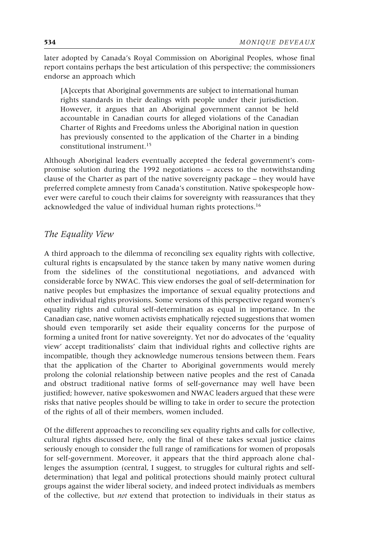later adopted by Canada's Royal Commission on Aboriginal Peoples, whose final report contains perhaps the best articulation of this perspective; the commissioners endorse an approach which

[A]ccepts that Aboriginal governments are subject to international human rights standards in their dealings with people under their jurisdiction. However, it argues that an Aboriginal government cannot be held accountable in Canadian courts for alleged violations of the Canadian Charter of Rights and Freedoms unless the Aboriginal nation in question has previously consented to the application of the Charter in a binding constitutional instrument.15

Although Aboriginal leaders eventually accepted the federal government's compromise solution during the 1992 negotiations – access to the notwithstanding clause of the Charter as part of the native sovereignty package – they would have preferred complete amnesty from Canada's constitution. Native spokespeople however were careful to couch their claims for sovereignty with reassurances that they acknowledged the value of individual human rights protections.16

## *The Equality View*

A third approach to the dilemma of reconciling sex equality rights with collective, cultural rights is encapsulated by the stance taken by many native women during from the sidelines of the constitutional negotiations, and advanced with considerable force by NWAC. This view endorses the goal of self-determination for native peoples but emphasizes the importance of sexual equality protections and other individual rights provisions. Some versions of this perspective regard women's equality rights and cultural self-determination as equal in importance. In the Canadian case, native women activists emphatically rejected suggestions that women should even temporarily set aside their equality concerns for the purpose of forming a united front for native sovereignty. Yet nor do advocates of the 'equality view' accept traditionalists' claim that individual rights and collective rights are incompatible, though they acknowledge numerous tensions between them. Fears that the application of the Charter to Aboriginal governments would merely prolong the colonial relationship between native peoples and the rest of Canada and obstruct traditional native forms of self-governance may well have been justified; however, native spokeswomen and NWAC leaders argued that these were risks that native peoples should be willing to take in order to secure the protection of the rights of all of their members, women included.

Of the different approaches to reconciling sex equality rights and calls for collective, cultural rights discussed here, only the final of these takes sexual justice claims seriously enough to consider the full range of ramifications for women of proposals for self-government. Moreover, it appears that the third approach alone challenges the assumption (central, I suggest, to struggles for cultural rights and selfdetermination) that legal and political protections should mainly protect cultural groups against the wider liberal society, and indeed protect individuals as members of the collective, but *not* extend that protection to individuals in their status as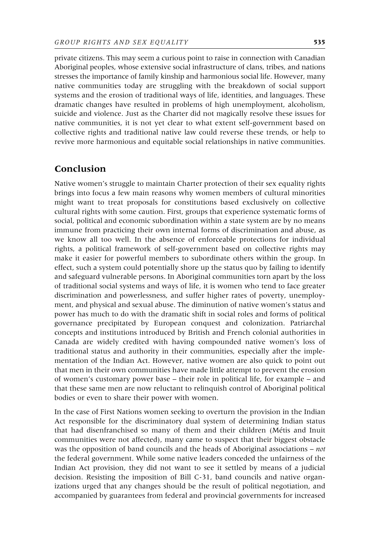private citizens. This may seem a curious point to raise in connection with Canadian Aboriginal peoples, whose extensive social infrastructure of clans, tribes, and nations stresses the importance of family kinship and harmonious social life. However, many native communities today are struggling with the breakdown of social support systems and the erosion of traditional ways of life, identities, and languages. These dramatic changes have resulted in problems of high unemployment, alcoholism, suicide and violence. Just as the Charter did not magically resolve these issues for native communities, it is not yet clear to what extent self-government based on collective rights and traditional native law could reverse these trends, or help to revive more harmonious and equitable social relationships in native communities.

## **Conclusion**

Native women's struggle to maintain Charter protection of their sex equality rights brings into focus a few main reasons why women members of cultural minorities might want to treat proposals for constitutions based exclusively on collective cultural rights with some caution. First, groups that experience systematic forms of social, political and economic subordination within a state system are by no means immune from practicing their own internal forms of discrimination and abuse, as we know all too well. In the absence of enforceable protections for individual rights, a political framework of self-government based on collective rights may make it easier for powerful members to subordinate others within the group. In effect, such a system could potentially shore up the status quo by failing to identify and safeguard vulnerable persons. In Aboriginal communities torn apart by the loss of traditional social systems and ways of life, it is women who tend to face greater discrimination and powerlessness, and suffer higher rates of poverty, unemployment, and physical and sexual abuse. The diminution of native women's status and power has much to do with the dramatic shift in social roles and forms of political governance precipitated by European conquest and colonization. Patriarchal concepts and institutions introduced by British and French colonial authorities in Canada are widely credited with having compounded native women's loss of traditional status and authority in their communities, especially after the implementation of the Indian Act. However, native women are also quick to point out that men in their own communities have made little attempt to prevent the erosion of women's customary power base – their role in political life, for example – and that these same men are now reluctant to relinquish control of Aboriginal political bodies or even to share their power with women.

In the case of First Nations women seeking to overturn the provision in the Indian Act responsible for the discriminatory dual system of determining Indian status that had disenfranchised so many of them and their children (Métis and Inuit communities were not affected), many came to suspect that their biggest obstacle was the opposition of band councils and the heads of Aboriginal associations – *not* the federal government. While some native leaders conceded the unfairness of the Indian Act provision, they did not want to see it settled by means of a judicial decision. Resisting the imposition of Bill C-31, band councils and native organizations urged that any changes should be the result of political negotiation, and accompanied by guarantees from federal and provincial governments for increased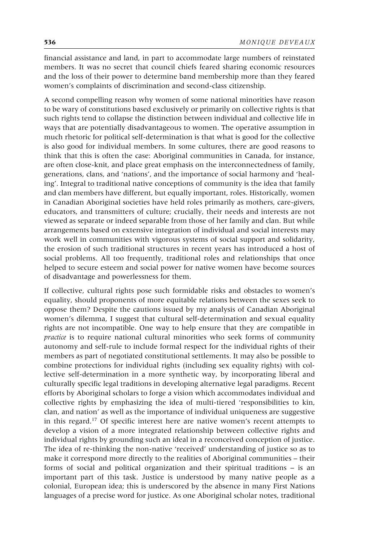financial assistance and land, in part to accommodate large numbers of reinstated members. It was no secret that council chiefs feared sharing economic resources and the loss of their power to determine band membership more than they feared women's complaints of discrimination and second-class citizenship.

A second compelling reason why women of some national minorities have reason to be wary of constitutions based exclusively or primarily on collective rights is that such rights tend to collapse the distinction between individual and collective life in ways that are potentially disadvantageous to women. The operative assumption in much rhetoric for political self-determination is that what is good for the collective is also good for individual members. In some cultures, there are good reasons to think that this is often the case: Aboriginal communities in Canada, for instance, are often close-knit, and place great emphasis on the interconnectedness of family, generations, clans, and 'nations', and the importance of social harmony and 'healing'. Integral to traditional native conceptions of community is the idea that family and clan members have different, but equally important, roles. Historically, women in Canadian Aboriginal societies have held roles primarily as mothers, care-givers, educators, and transmitters of culture; crucially, their needs and interests are not viewed as separate or indeed separable from those of her family and clan. But while arrangements based on extensive integration of individual and social interests may work well in communities with vigorous systems of social support and solidarity, the erosion of such traditional structures in recent years has introduced a host of social problems. All too frequently, traditional roles and relationships that once helped to secure esteem and social power for native women have become sources of disadvantage and powerlessness for them.

If collective, cultural rights pose such formidable risks and obstacles to women's equality, should proponents of more equitable relations between the sexes seek to oppose them? Despite the cautions issued by my analysis of Canadian Aboriginal women's dilemma, I suggest that cultural self-determination and sexual equality rights are not incompatible. One way to help ensure that they are compatible in *practice* is to require national cultural minorities who seek forms of community autonomy and self-rule to include formal respect for the individual rights of their members as part of negotiated constitutional settlements. It may also be possible to combine protections for individual rights (including sex equality rights) with collective self-determination in a more synthetic way, by incorporating liberal and culturally specific legal traditions in developing alternative legal paradigms. Recent efforts by Aboriginal scholars to forge a vision which accommodates individual and collective rights by emphasizing the idea of multi-tiered 'responsibilities to kin, clan, and nation' as well as the importance of individual uniqueness are suggestive in this regard.17 Of specific interest here are native women's recent attempts to develop a vision of a more integrated relationship between collective rights and individual rights by grounding such an ideal in a reconceived conception of justice. The idea of re-thinking the non-native 'received' understanding of justice so as to make it correspond more directly to the realities of Aboriginal communities – their forms of social and political organization and their spiritual traditions – is an important part of this task. Justice is understood by many native people as a colonial, European idea; this is underscored by the absence in many First Nations languages of a precise word for justice. As one Aboriginal scholar notes, traditional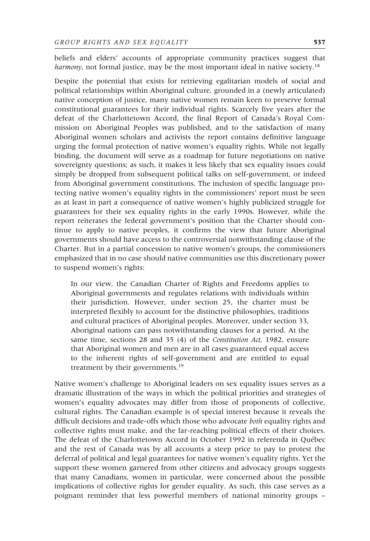beliefs and elders' accounts of appropriate community practices suggest that *harmony*, not formal justice, may be the most important ideal in native society.<sup>18</sup>

Despite the potential that exists for retrieving egalitarian models of social and political relationships within Aboriginal culture, grounded in a (newly articulated) native conception of justice, many native women remain keen to preserve formal constitutional guarantees for their individual rights. Scarcely five years after the defeat of the Charlottetown Accord, the final Report of Canada's Royal Commission on Aboriginal Peoples was published, and to the satisfaction of many Aboriginal women scholars and activists the report contains definitive language urging the formal protection of native women's equality rights. While not legally binding, the document will serve as a roadmap for future negotiations on native sovereignty questions; as such, it makes it less likely that sex equality issues could simply be dropped from subsequent political talks on self-government, or indeed from Aboriginal government constitutions. The inclusion of specific language protecting native women's equality rights in the commissioners' report must be seen as at least in part a consequence of native women's highly publicized struggle for guarantees for their sex equality rights in the early 1990s. However, while the report reiterates the federal government's position that the Charter should continue to apply to native peoples, it confirms the view that future Aboriginal governments should have access to the controversial notwithstanding clause of the Charter. But in a partial concession to native women's groups, the commissioners emphasized that in no case should native communities use this discretionary power to suspend women's rights:

In our view, the Canadian Charter of Rights and Freedoms applies to Aboriginal governments and regulates relations with individuals within their jurisdiction. However, under section 25, the charter must be interpreted flexibly to account for the distinctive philosophies, traditions and cultural practices of Aboriginal peoples. Moreover, under section 33, Aboriginal nations can pass notwithstanding clauses for a period. At the same time, sections 28 and 35 (4) of the *Constitution Act*, 1982, ensure that Aboriginal women and men are in all cases guaranteed equal access to the inherent rights of self-government and are entitled to equal treatment by their governments.19

Native women's challenge to Aboriginal leaders on sex equality issues serves as a dramatic illustration of the ways in which the political priorities and strategies of women's equality advocates may differ from those of proponents of collective, cultural rights. The Canadian example is of special interest because it reveals the difficult decisions and trade-offs which those who advocate *both* equality rights and collective rights must make, and the far-reaching political effects of their choices. The defeat of the Charlottetown Accord in October 1992 in referenda in Québec and the rest of Canada was by all accounts a steep price to pay to protest the deferral of political and legal guarantees for native women's equality rights. Yet the support these women garnered from other citizens and advocacy groups suggests that many Canadians, women in particular, were concerned about the possible implications of collective rights for gender equality. As such, this case serves as a poignant reminder that less powerful members of national minority groups –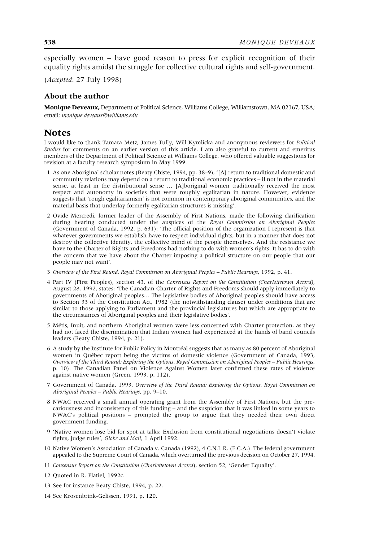especially women – have good reason to press for explicit recognition of their equality rights amidst the struggle for collective cultural rights and self-government.

(*Accepted*: 27 July 1998)

#### **About the author**

**Monique Deveaux,** Department of Political Science, Williams College, Williamstown, MA 02167, USA; email: *monique.deveaux@williams.edu*

#### **Notes**

I would like to thank Tamara Metz, James Tully, Will Kymlicka and anonymous reviewers for *Political Studies* for comments on an earlier version of this article. I am also grateful to current and emeritus members of the Department of Political Science at Williams College, who offered valuable suggestions for revision at a faculty research symposium in May 1999.

- 1 As one Aboriginal scholar notes (Beaty Chiste, 1994, pp. 38–9), '[A] return to traditional domestic and community relations may depend on a return to traditional economic practices – if not in the material sense, at least in the distributional sense … [A]boriginal women traditionally received the most respect and autonomy in societies that were roughly egalitarian in nature. However, evidence suggests that 'rough egalitarianism' is not common in contemporary aboriginal communities, and the material basis that underlay formerly egalitarian structures is missing'.
- 2 Ovide Mercredi, former leader of the Assembly of First Nations, made the following clarification during hearing conducted under the auspices of the *Royal Commission on Aboriginal Peoples* (Government of Canada, 1992, p. 631): 'The official position of the organization I represent is that whatever governments we establish have to respect individual rights, but in a manner that does not destroy the collective identity, the collective mind of the people themselves. And the resistance we have to the Charter of Rights and Freedoms had nothing to do with women's rights. It has to do with the concern that we have about the Charter imposing a political structure on our people that our people may not want'.
- 3 *Overview of the First Round. Royal Commission on Aboriginal Peoples Public Hearings*, 1992, p. 41.
- 4 Part IV (First Peoples), section 43, of the *Consensus Report on the Constitution (Charlottetown Accord)*, August 28, 1992, states: 'The Canadian Charter of Rights and Freedoms should apply immediately to governments of Aboriginal peoples… The legislative bodies of Aboriginal peoples should have access to Section 33 of the Constitution Act, 1982 (the notwithstanding clause) under conditions that are similar to those applying to Parliament and the provincial legislatures but which are appropriate to the circumstances of Aboriginal peoples and their legislative bodies'.
- 5 Métis, Inuit, and northern Aboriginal women were less concerned with Charter protection, as they had not faced the discrimination that Indian women had experienced at the hands of band councils leaders (Beaty Chiste, 1994, p. 21).
- 6 A study by the Institute for Public Policy in Montréal suggests that as many as 80 percent of Aboriginal women in Québec report being the victims of domestic violence (Government of Canada, 1993, *Overview of the Third Round: Exploring the Options, Royal Commission on Aboriginal Peoples – Public Hearings*, p. 10). The Canadian Panel on Violence Against Women later confirmed these rates of violence against native women (Green, 1993, p. 112).
- 7 Government of Canada, 1993, *Overview of the Third Round: Exploring the Options, Royal Commission on Aboriginal Peoples – Public Hearings*, pp. 9–10.
- 8 NWAC received a small annual operating grant from the Assembly of First Nations, but the precariousness and inconsistency of this funding – and the suspicion that it was linked in some years to NWAC's political positions – prompted the group to argue that they needed their own direct government funding.
- 9 'Native women lose bid for spot at talks: Exclusion from constitutional negotiations doesn't violate rights, judge rules', *Globe and Mail*, 1 April 1992.
- 10 Native Women's Association of Canada v. Canada (1992), 4 C.N.L.R. (F.C.A.). The federal government appealed to the Supreme Court of Canada, which overturned the previous decision on October 27, 1994.
- 11 *Consensus Report on the Constitution* (*Charlottetown Accord*), section 52, 'Gender Equality'.
- 12 Quoted in R. Platiel, 1992c.
- 13 See for instance Beaty Chiste, 1994, p. 22.
- 14 See Krosenbrink-Gelissen, 1991, p. 120.